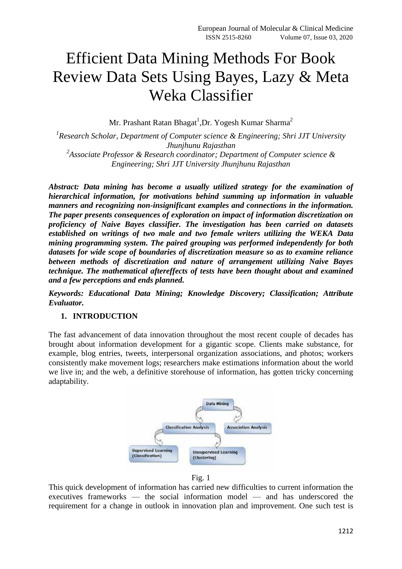# Efficient Data Mining Methods For Book Review Data Sets Using Bayes, Lazy & Meta Weka Classifier

Mr. Prashant Ratan Bhagat $^1$ ,Dr. Yogesh Kumar Sharma $^2$ 

*1 Research Scholar, Department of Computer science & Engineering; Shri JJT University Jhunjhunu Rajasthan 2 Associate Professor & Research coordinator; Department of Computer science & Engineering; Shri JJT University Jhunjhunu Rajasthan*

*Abstract: Data mining has become a usually utilized strategy for the examination of hierarchical information, for motivations behind summing up information in valuable manners and recognizing non-insignificant examples and connections in the information. The paper presents consequences of exploration on impact of information discretization on proficiency of Naive Bayes classifier. The investigation has been carried on datasets established on writings of two male and two female writers utilizing the WEKA Data mining programming system. The paired grouping was performed independently for both datasets for wide scope of boundaries of discretization measure so as to examine reliance between methods of discretization and nature of arrangement utilizing Naive Bayes technique. The mathematical aftereffects of tests have been thought about and examined and a few perceptions and ends planned.*

*Keywords: Educational Data Mining; Knowledge Discovery; Classification; Attribute Evaluator.*

#### **1. INTRODUCTION**

The fast advancement of data innovation throughout the most recent couple of decades has brought about information development for a gigantic scope. Clients make substance, for example, blog entries, tweets, interpersonal organization associations, and photos; workers consistently make movement logs; researchers make estimations information about the world we live in; and the web, a definitive storehouse of information, has gotten tricky concerning adaptability.



Fig. 1

This quick development of information has carried new difficulties to current information the executives frameworks — the social information model — and has underscored the requirement for a change in outlook in innovation plan and improvement. One such test is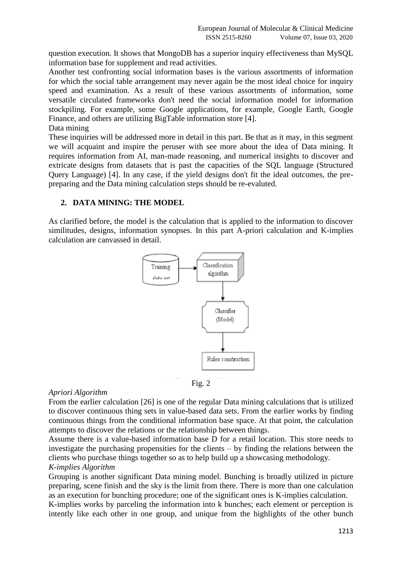question execution. It shows that MongoDB has a superior inquiry effectiveness than MySQL information base for supplement and read activities.

Another test confronting social information bases is the various assortments of information for which the social table arrangement may never again be the most ideal choice for inquiry speed and examination. As a result of these various assortments of information, some versatile circulated frameworks don't need the social information model for information stockpiling. For example, some Google applications, for example, Google Earth, Google Finance, and others are utilizing BigTable information store [4].

Data mining

These inquiries will be addressed more in detail in this part. Be that as it may, in this segment we will acquaint and inspire the peruser with see more about the idea of Data mining. It requires information from AI, man-made reasoning, and numerical insights to discover and extricate designs from datasets that is past the capacities of the SQL language (Structured Query Language) [4]. In any case, if the yield designs don't fit the ideal outcomes, the prepreparing and the Data mining calculation steps should be re-evaluted.

# **2. DATA MINING: THE MODEL**

As clarified before, the model is the calculation that is applied to the information to discover similitudes, designs, information synopses. In this part A-priori calculation and K-implies calculation are canvassed in detail.



#### *Apriori Algorithm*

From the earlier calculation [26] is one of the regular Data mining calculations that is utilized to discover continuous thing sets in value-based data sets. From the earlier works by finding continuous things from the conditional information base space. At that point, the calculation attempts to discover the relations or the relationship between things.

Assume there is a value-based information base D for a retail location. This store needs to investigate the purchasing propensities for the clients – by finding the relations between the clients who purchase things together so as to help build up a showcasing methodology. *K-implies Algorithm* 

Grouping is another significant Data mining model. Bunching is broadly utilized in picture preparing, scene finish and the sky is the limit from there. There is more than one calculation as an execution for bunching procedure; one of the significant ones is K-implies calculation.

K-implies works by parceling the information into k bunches; each element or perception is intently like each other in one group, and unique from the highlights of the other bunch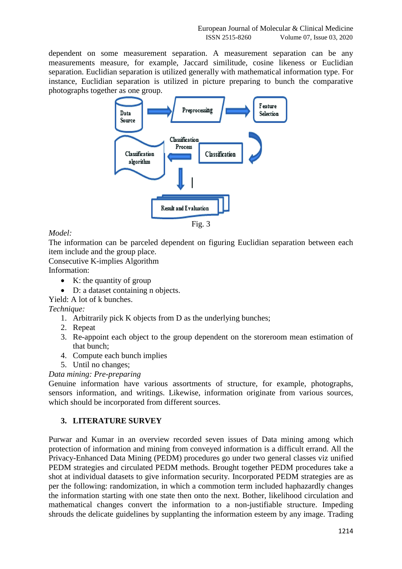dependent on some measurement separation. A measurement separation can be any measurements measure, for example, Jaccard similitude, cosine likeness or Euclidian separation. Euclidian separation is utilized generally with mathematical information type. For instance, Euclidian separation is utilized in picture preparing to bunch the comparative photographs together as one group.



# *Model:*

The information can be parceled dependent on figuring Euclidian separation between each item include and the group place.

Consecutive K-implies Algorithm

Information:

- $\bullet$  K: the quantity of group
- D: a dataset containing n objects.

Yield: A lot of k bunches.

*Technique:* 

- 1. Arbitrarily pick K objects from D as the underlying bunches;
- 2. Repeat
- 3. Re-appoint each object to the group dependent on the storeroom mean estimation of that bunch;
- 4. Compute each bunch implies
- 5. Until no changes;

# *Data mining: Pre-preparing*

Genuine information have various assortments of structure, for example, photographs, sensors information, and writings. Likewise, information originate from various sources, which should be incorporated from different sources.

# **3. LITERATURE SURVEY**

Purwar and Kumar in an overview recorded seven issues of Data mining among which protection of information and mining from conveyed information is a difficult errand. All the Privacy-Enhanced Data Mining (PEDM) procedures go under two general classes viz unified PEDM strategies and circulated PEDM methods. Brought together PEDM procedures take a shot at individual datasets to give information security. Incorporated PEDM strategies are as per the following: randomization, in which a commotion term included haphazardly changes the information starting with one state then onto the next. Bother, likelihood circulation and mathematical changes convert the information to a non-justifiable structure. Impeding shrouds the delicate guidelines by supplanting the information esteem by any image. Trading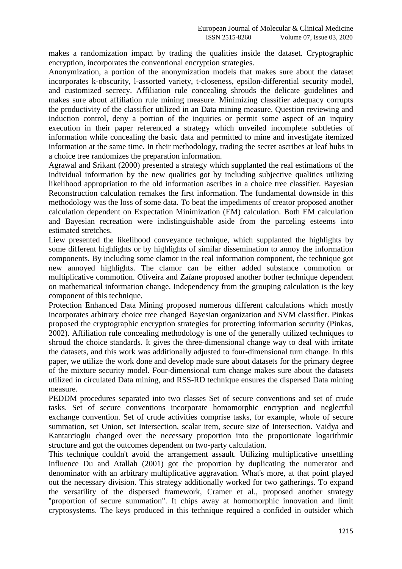makes a randomization impact by trading the qualities inside the dataset. Cryptographic encryption, incorporates the conventional encryption strategies.

Anonymization, a portion of the anonymization models that makes sure about the dataset incorporates k-obscurity, l-assorted variety, t-closeness, epsilon-differential security model, and customized secrecy. Affiliation rule concealing shrouds the delicate guidelines and makes sure about affiliation rule mining measure. Minimizing classifier adequacy corrupts the productivity of the classifier utilized in an Data mining measure. Question reviewing and induction control, deny a portion of the inquiries or permit some aspect of an inquiry execution in their paper referenced a strategy which unveiled incomplete subtleties of information while concealing the basic data and permitted to mine and investigate itemized information at the same time. In their methodology, trading the secret ascribes at leaf hubs in a choice tree randomizes the preparation information.

Agrawal and Srikant (2000) presented a strategy which supplanted the real estimations of the individual information by the new qualities got by including subjective qualities utilizing likelihood appropriation to the old information ascribes in a choice tree classifier. Bayesian Reconstruction calculation remakes the first information. The fundamental downside in this methodology was the loss of some data. To beat the impediments of creator proposed another calculation dependent on Expectation Minimization (EM) calculation. Both EM calculation and Bayesian recreation were indistinguishable aside from the parceling esteems into estimated stretches.

Liew presented the likelihood conveyance technique, which supplanted the highlights by some different highlights or by highlights of similar dissemination to annoy the information components. By including some clamor in the real information component, the technique got new annoyed highlights. The clamor can be either added substance commotion or multiplicative commotion. Oliveira and Zaïane proposed another bother technique dependent on mathematical information change. Independency from the grouping calculation is the key component of this technique.

Protection Enhanced Data Mining proposed numerous different calculations which mostly incorporates arbitrary choice tree changed Bayesian organization and SVM classifier. Pinkas proposed the cryptographic encryption strategies for protecting information security (Pinkas, 2002). Affiliation rule concealing methodology is one of the generally utilized techniques to shroud the choice standards. It gives the three-dimensional change way to deal with irritate the datasets, and this work was additionally adjusted to four-dimensional turn change. In this paper, we utilize the work done and develop made sure about datasets for the primary degree of the mixture security model. Four-dimensional turn change makes sure about the datasets utilized in circulated Data mining, and RSS-RD technique ensures the dispersed Data mining measure.

PEDDM procedures separated into two classes Set of secure conventions and set of crude tasks. Set of secure conventions incorporate homomorphic encryption and neglectful exchange convention. Set of crude activities comprise tasks, for example, whole of secure summation, set Union, set Intersection, scalar item, secure size of Intersection. Vaidya and Kantarcioglu changed over the necessary proportion into the proportionate logarithmic structure and got the outcomes dependent on two-party calculation.

This technique couldn't avoid the arrangement assault. Utilizing multiplicative unsettling influence Du and Atallah (2001) got the proportion by duplicating the numerator and denominator with an arbitrary multiplicative aggravation. What's more, at that point played out the necessary division. This strategy additionally worked for two gatherings. To expand the versatility of the dispersed framework, Cramer et al., proposed another strategy ''proportion of secure summation". It chips away at homomorphic innovation and limit cryptosystems. The keys produced in this technique required a confided in outsider which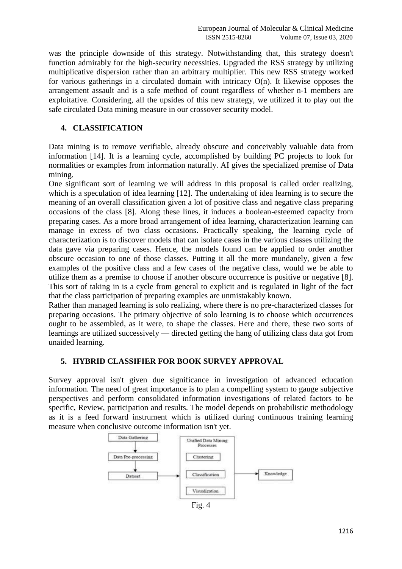was the principle downside of this strategy. Notwithstanding that, this strategy doesn't function admirably for the high-security necessities. Upgraded the RSS strategy by utilizing multiplicative dispersion rather than an arbitrary multiplier. This new RSS strategy worked for various gatherings in a circulated domain with intricacy O(n). It likewise opposes the arrangement assault and is a safe method of count regardless of whether n-1 members are exploitative. Considering, all the upsides of this new strategy, we utilized it to play out the safe circulated Data mining measure in our crossover security model.

# **4. CLASSIFICATION**

Data mining is to remove verifiable, already obscure and conceivably valuable data from information [14]. It is a learning cycle, accomplished by building PC projects to look for normalities or examples from information naturally. AI gives the specialized premise of Data mining.

One significant sort of learning we will address in this proposal is called order realizing, which is a speculation of idea learning [12]. The undertaking of idea learning is to secure the meaning of an overall classification given a lot of positive class and negative class preparing occasions of the class [8]. Along these lines, it induces a boolean-esteemed capacity from preparing cases. As a more broad arrangement of idea learning, characterization learning can manage in excess of two class occasions. Practically speaking, the learning cycle of characterization is to discover models that can isolate cases in the various classes utilizing the data gave via preparing cases. Hence, the models found can be applied to order another obscure occasion to one of those classes. Putting it all the more mundanely, given a few examples of the positive class and a few cases of the negative class, would we be able to utilize them as a premise to choose if another obscure occurrence is positive or negative [8]. This sort of taking in is a cycle from general to explicit and is regulated in light of the fact that the class participation of preparing examples are unmistakably known.

Rather than managed learning is solo realizing, where there is no pre-characterized classes for preparing occasions. The primary objective of solo learning is to choose which occurrences ought to be assembled, as it were, to shape the classes. Here and there, these two sorts of learnings are utilized successively — directed getting the hang of utilizing class data got from unaided learning.

# **5. HYBRID CLASSIFIER FOR BOOK SURVEY APPROVAL**

Survey approval isn't given due significance in investigation of advanced education information. The need of great importance is to plan a compelling system to gauge subjective perspectives and perform consolidated information investigations of related factors to be specific, Review, participation and results. The model depends on probabilistic methodology as it is a feed forward instrument which is utilized during continuous training learning measure when conclusive outcome information isn't yet.



Fig. 4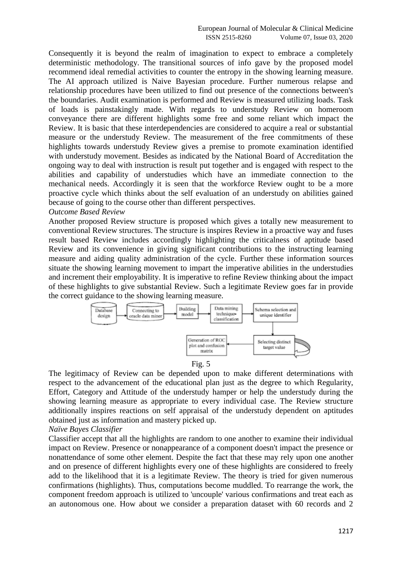Consequently it is beyond the realm of imagination to expect to embrace a completely deterministic methodology. The transitional sources of info gave by the proposed model recommend ideal remedial activities to counter the entropy in the showing learning measure. The AI approach utilized is Naive Bayesian procedure. Further numerous relapse and relationship procedures have been utilized to find out presence of the connections between's the boundaries. Audit examination is performed and Review is measured utilizing loads. Task of loads is painstakingly made. With regards to understudy Review on homeroom conveyance there are different highlights some free and some reliant which impact the Review. It is basic that these interdependencies are considered to acquire a real or substantial measure or the understudy Review. The measurement of the free commitments of these highlights towards understudy Review gives a premise to promote examination identified with understudy movement. Besides as indicated by the National Board of Accreditation the ongoing way to deal with instruction is result put together and is engaged with respect to the abilities and capability of understudies which have an immediate connection to the mechanical needs. Accordingly it is seen that the workforce Review ought to be a more proactive cycle which thinks about the self evaluation of an understudy on abilities gained because of going to the course other than different perspectives.

#### *Outcome Based Review*

Another proposed Review structure is proposed which gives a totally new measurement to conventional Review structures. The structure is inspires Review in a proactive way and fuses result based Review includes accordingly highlighting the criticalness of aptitude based Review and its convenience in giving significant contributions to the instructing learning measure and aiding quality administration of the cycle. Further these information sources situate the showing learning movement to impart the imperative abilities in the understudies and increment their employability. It is imperative to refine Review thinking about the impact of these highlights to give substantial Review. Such a legitimate Review goes far in provide the correct guidance to the showing learning measure.



Fig. 5

The legitimacy of Review can be depended upon to make different determinations with respect to the advancement of the educational plan just as the degree to which Regularity, Effort, Category and Attitude of the understudy hamper or help the understudy during the showing learning measure as appropriate to every individual case. The Review structure additionally inspires reactions on self appraisal of the understudy dependent on aptitudes obtained just as information and mastery picked up.

#### *Naïve Bayes Classifier*

Classifier accept that all the highlights are random to one another to examine their individual impact on Review. Presence or nonappearance of a component doesn't impact the presence or nonattendance of some other element. Despite the fact that these may rely upon one another and on presence of different highlights every one of these highlights are considered to freely add to the likelihood that it is a legitimate Review. The theory is tried for given numerous confirmations (highlights). Thus, computations become muddled. To rearrange the work, the component freedom approach is utilized to 'uncouple' various confirmations and treat each as an autonomous one. How about we consider a preparation dataset with 60 records and 2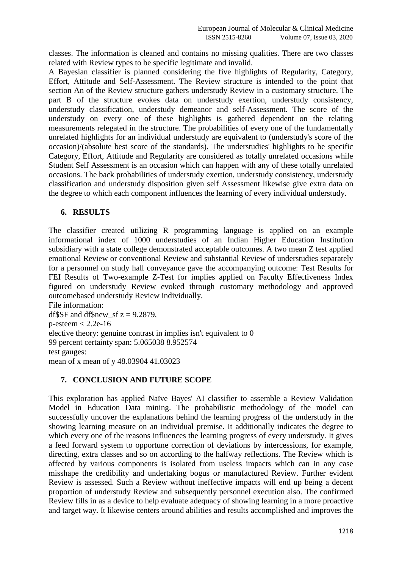classes. The information is cleaned and contains no missing qualities. There are two classes related with Review types to be specific legitimate and invalid.

A Bayesian classifier is planned considering the five highlights of Regularity, Category, Effort, Attitude and Self-Assessment. The Review structure is intended to the point that section An of the Review structure gathers understudy Review in a customary structure. The part B of the structure evokes data on understudy exertion, understudy consistency, understudy classification, understudy demeanor and self-Assessment. The score of the understudy on every one of these highlights is gathered dependent on the relating measurements relegated in the structure. The probabilities of every one of the fundamentally unrelated highlights for an individual understudy are equivalent to (understudy's score of the occasion)/(absolute best score of the standards). The understudies' highlights to be specific Category, Effort, Attitude and Regularity are considered as totally unrelated occasions while Student Self Assessment is an occasion which can happen with any of these totally unrelated occasions. The back probabilities of understudy exertion, understudy consistency, understudy classification and understudy disposition given self Assessment likewise give extra data on the degree to which each component influences the learning of every individual understudy.

### **6. RESULTS**

The classifier created utilizing R programming language is applied on an example informational index of 1000 understudies of an Indian Higher Education Institution subsidiary with a state college demonstrated acceptable outcomes. A two mean Z test applied emotional Review or conventional Review and substantial Review of understudies separately for a personnel on study hall conveyance gave the accompanying outcome: Test Results for FEI Results of Two-example Z-Test for implies applied on Faculty Effectiveness Index figured on understudy Review evoked through customary methodology and approved outcomebased understudy Review individually.

File information: df\$SF and df\$new sf  $z = 9.2879$ ,  $p$ -esteem  $<$  2.2e-16 elective theory: genuine contrast in implies isn't equivalent to 0 99 percent certainty span: 5.065038 8.952574 test gauges: mean of x mean of y 48.03904 41.03023

#### **7. CONCLUSION AND FUTURE SCOPE**

This exploration has applied Naïve Bayes' AI classifier to assemble a Review Validation Model in Education Data mining. The probabilistic methodology of the model can successfully uncover the explanations behind the learning progress of the understudy in the showing learning measure on an individual premise. It additionally indicates the degree to which every one of the reasons influences the learning progress of every understudy. It gives a feed forward system to opportune correction of deviations by intercessions, for example, directing, extra classes and so on according to the halfway reflections. The Review which is affected by various components is isolated from useless impacts which can in any case misshape the credibility and undertaking bogus or manufactured Review. Further evident Review is assessed. Such a Review without ineffective impacts will end up being a decent proportion of understudy Review and subsequently personnel execution also. The confirmed Review fills in as a device to help evaluate adequacy of showing learning in a more proactive and target way. It likewise centers around abilities and results accomplished and improves the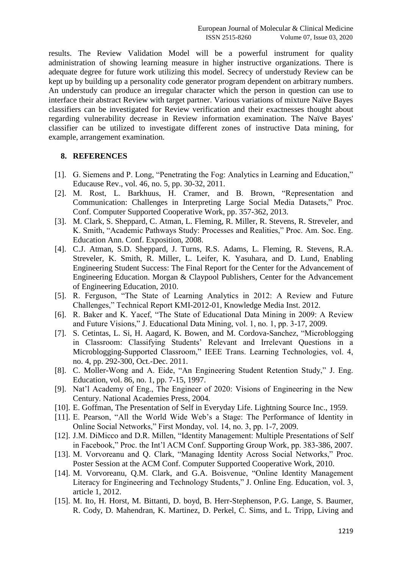results. The Review Validation Model will be a powerful instrument for quality administration of showing learning measure in higher instructive organizations. There is adequate degree for future work utilizing this model. Secrecy of understudy Review can be kept up by building up a personality code generator program dependent on arbitrary numbers. An understudy can produce an irregular character which the person in question can use to interface their abstract Review with target partner. Various variations of mixture Naïve Bayes classifiers can be investigated for Review verification and their exactnesses thought about regarding vulnerability decrease in Review information examination. The Naïve Bayes' classifier can be utilized to investigate different zones of instructive Data mining, for example, arrangement examination.

#### **8. REFERENCES**

- [1]. G. Siemens and P. Long, "Penetrating the Fog: Analytics in Learning and Education," Educause Rev., vol. 46, no. 5, pp. 30-32, 2011.
- [2]. M. Rost, L. Barkhuus, H. Cramer, and B. Brown, "Representation and Communication: Challenges in Interpreting Large Social Media Datasets," Proc. Conf. Computer Supported Cooperative Work, pp. 357-362, 2013.
- [3]. M. Clark, S. Sheppard, C. Atman, L. Fleming, R. Miller, R. Stevens, R. Streveler, and K. Smith, "Academic Pathways Study: Processes and Realities," Proc. Am. Soc. Eng. Education Ann. Conf. Exposition, 2008.
- [4]. C.J. Atman, S.D. Sheppard, J. Turns, R.S. Adams, L. Fleming, R. Stevens, R.A. Streveler, K. Smith, R. Miller, L. Leifer, K. Yasuhara, and D. Lund, Enabling Engineering Student Success: The Final Report for the Center for the Advancement of Engineering Education. Morgan & Claypool Publishers, Center for the Advancement of Engineering Education, 2010.
- [5]. R. Ferguson, "The State of Learning Analytics in 2012: A Review and Future Challenges," Technical Report KMI-2012-01, Knowledge Media Inst. 2012.
- [6]. R. Baker and K. Yacef, "The State of Educational Data Mining in 2009: A Review and Future Visions," J. Educational Data Mining, vol. 1, no. 1, pp. 3-17, 2009.
- [7]. S. Cetintas, L. Si, H. Aagard, K. Bowen, and M. Cordova-Sanchez, "Microblogging in Classroom: Classifying Students' Relevant and Irrelevant Questions in a Microblogging-Supported Classroom," IEEE Trans. Learning Technologies, vol. 4, no. 4, pp. 292-300, Oct.-Dec. 2011.
- [8]. C. Moller-Wong and A. Eide, "An Engineering Student Retention Study," J. Eng. Education, vol. 86, no. 1, pp. 7-15, 1997.
- [9]. Nat'l Academy of Eng., The Engineer of 2020: Visions of Engineering in the New Century. National Academies Press, 2004.
- [10]. E. Goffman, The Presentation of Self in Everyday Life. Lightning Source Inc., 1959.
- [11]. E. Pearson, "All the World Wide Web's a Stage: The Performance of Identity in Online Social Networks," First Monday, vol. 14, no. 3, pp. 1-7, 2009.
- [12]. J.M. DiMicco and D.R. Millen, "Identity Management: Multiple Presentations of Self in Facebook," Proc. the Int'l ACM Conf. Supporting Group Work, pp. 383-386, 2007.
- [13]. M. Vorvoreanu and Q. Clark, "Managing Identity Across Social Networks," Proc. Poster Session at the ACM Conf. Computer Supported Cooperative Work, 2010.
- [14]. M. Vorvoreanu, Q.M. Clark, and G.A. Boisvenue, "Online Identity Management" Literacy for Engineering and Technology Students," J. Online Eng. Education, vol. 3, article 1, 2012.
- [15]. M. Ito, H. Horst, M. Bittanti, D. boyd, B. Herr-Stephenson, P.G. Lange, S. Baumer, R. Cody, D. Mahendran, K. Martinez, D. Perkel, C. Sims, and L. Tripp, Living and